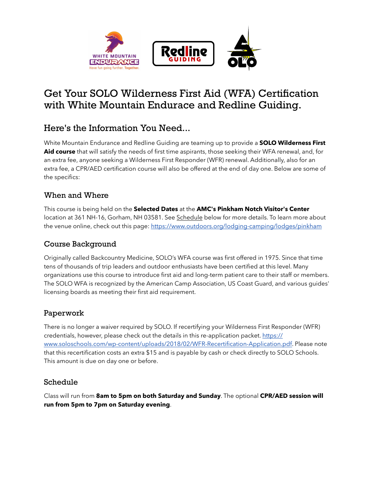

# Get Your SOLO Wilderness First Aid (WFA) Certification with White Mountain Endurace and Redline Guiding.

# Here's the Information You Need...

White Mountain Endurance and Redline Guiding are teaming up to provide a **SOLO Wilderness First Aid course** that will satisfy the needs of first time aspirants, those seeking their WFA renewal, and, for an extra fee, anyone seeking a Wilderness First Responder (WFR) renewal. Additionally, also for an extra fee, a CPR/AED certification course will also be offered at the end of day one. Below are some of the specifics:

#### When and Where

This course is being held on the **Selected Dates** at the **AMC's Pinkham Notch Visitor's Center** location at 361 NH-16, Gorham, NH 03581. See Schedule below for more details. To learn more about the venue online, check out this page: https://www.outdoors.org/lodging-camping/lodges/pinkham

### Course Background

Originally called Backcountry Medicine, SOLO's WFA course was first offered in 1975. Since that time tens of thousands of trip leaders and outdoor enthusiasts have been certified at this level. Many organizations use this course to introduce first aid and long-term patient care to their staff or members. The SOLO WFA is recognized by the American Camp Association, US Coast Guard, and various guides' licensing boards as meeting their first aid requirement.

#### Paperwork

There is no longer a waiver required by SOLO. If recertifying your Wilderness First Responder (WFR) credentials, however, please check out the details in this re-application packet. https:// www.soloschools.com/wp-content/uploads/2018/02/WFR-Recertification-Application.pdf. Please note that this recertification costs an extra \$15 and is payable by cash or check directly to SOLO Schools. This amount is due on day one or before.

#### Schedule

Class will run from **8am to 5pm on both Saturday and Sunday**. The optional **CPR/AED session will run from 5pm to 7pm on Saturday evening**.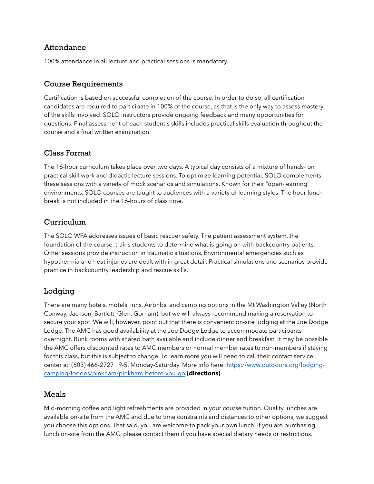#### Attendance

100% attendance in all lecture and practical sessions is mandatory.

#### Course Requirements

Certification is based on successful completion of the course. In order to do so, all certification candidates are required to participate in 100% of the course, as that is the only way to assess mastery of the skills involved. SOLO instructors provide ongoing feedback and many opportunities for questions. Final assessment of each student's skills includes practical skills evaluation throughout the course and a final written examination.

#### Class Format

The 16-hour curriculum takes place over two days. A typical day consists of a mixture of hands- on practical skill work and didactic lecture sessions. To optimize learning potential, SOLO complements these sessions with a variety of mock scenarios and simulations. Known for their "open-learning" environments, SOLO courses are taught to audiences with a variety of learning styles. The hour lunch break is not included in the 16-hours of class time.

#### Curriculum

The SOLO WFA addresses issues of basic rescuer safety. The patient assessment system, the foundation of the course, trains students to determine what is going on with backcountry patients. Other sessions provide instruction in traumatic situations. Environmental emergencies such as hypothermia and heat injuries are dealt with in great detail. Practical simulations and scenarios provide practice in backcountry leadership and rescue skills.

#### Lodging

There are many hotels, motels, inns, Airbnbs, and camping options in the Mt Washington Valley (North Conway, Jackson, Bartlett, Glen, Gorham), but we will always recommend making a reservation to secure your spot. We will, however, point out that there is convenient on-site lodging at the Joe Dodge Lodge. The AMC has good availability at the Joe Dodge Lodge to accommodate participants overnight. Bunk rooms with shared bath available and include dinner and breakfast. It may be possible the AMC offers discounted rates to AMC members or normal member rates to non-members if staying for this class, but this is subject to change. To learn more you will need to call their contact service center at (603) 466-2727, 9-5, Monday-Saturday. More info here: https://www.outdoors.org/lodgingcamping/lodges/pinkham/pinkham-before-you-go **(directions)**.

#### Meals

Mid-morning coffee and light refreshments are provided in your course tuition. Quality lunches are available on-site from the AMC and due to time constraints and distances to other options, we suggest you choose this options. That said, you are welcome to pack your own lunch. If you are purchasing lunch on-site from the AMC, please contact them if you have special dietary needs or restrictions.